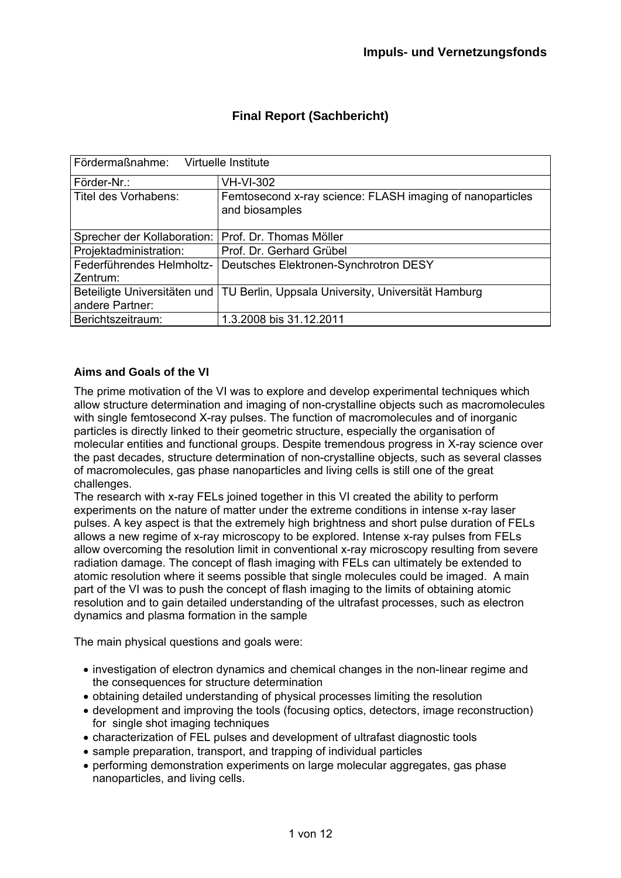| Fördermaßnahme:<br>Virtuelle Institute |                                                                                 |  |
|----------------------------------------|---------------------------------------------------------------------------------|--|
| Förder-Nr.:                            | <b>VH-VI-302</b>                                                                |  |
| Titel des Vorhabens:                   | Femtosecond x-ray science: FLASH imaging of nanoparticles<br>and biosamples     |  |
| Sprecher der Kollaboration:            | Prof. Dr. Thomas Möller                                                         |  |
| Projektadministration:                 | Prof. Dr. Gerhard Grübel                                                        |  |
| Federführendes Helmholtz-<br>Zentrum:  | Deutsches Elektronen-Synchrotron DESY                                           |  |
| andere Partner:                        | Beteiligte Universitäten und TU Berlin, Uppsala University, Universität Hamburg |  |
| Berichtszeitraum:                      | 1.3.2008 bis 31.12.2011                                                         |  |

# **Final Report (Sachbericht)**

## **Aims and Goals of the VI**

The prime motivation of the VI was to explore and develop experimental techniques which allow structure determination and imaging of non-crystalline objects such as macromolecules with single femtosecond X-ray pulses. The function of macromolecules and of inorganic particles is directly linked to their geometric structure, especially the organisation of molecular entities and functional groups. Despite tremendous progress in X-ray science over the past decades, structure determination of non-crystalline objects, such as several classes of macromolecules, gas phase nanoparticles and living cells is still one of the great challenges.

The research with x-ray FELs joined together in this VI created the ability to perform experiments on the nature of matter under the extreme conditions in intense x-ray laser pulses. A key aspect is that the extremely high brightness and short pulse duration of FELs allows a new regime of x-ray microscopy to be explored. Intense x-ray pulses from FELs allow overcoming the resolution limit in conventional x-ray microscopy resulting from severe radiation damage. The concept of flash imaging with FELs can ultimately be extended to atomic resolution where it seems possible that single molecules could be imaged. A main part of the VI was to push the concept of flash imaging to the limits of obtaining atomic resolution and to gain detailed understanding of the ultrafast processes, such as electron dynamics and plasma formation in the sample

The main physical questions and goals were:

- investigation of electron dynamics and chemical changes in the non-linear regime and the consequences for structure determination
- obtaining detailed understanding of physical processes limiting the resolution
- development and improving the tools (focusing optics, detectors, image reconstruction) for single shot imaging techniques
- characterization of FEL pulses and development of ultrafast diagnostic tools
- sample preparation, transport, and trapping of individual particles
- performing demonstration experiments on large molecular aggregates, gas phase nanoparticles, and living cells.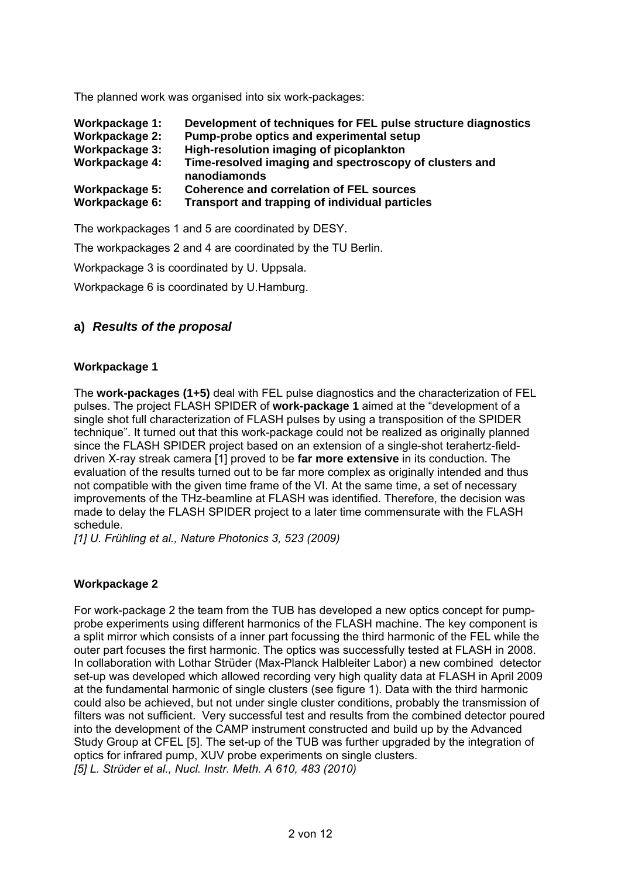The planned work was organised into six work-packages:

| Workpackage 1: | Development of techniques for FEL pulse structure diagnostics          |
|----------------|------------------------------------------------------------------------|
| Workpackage 2: | Pump-probe optics and experimental setup                               |
| Workpackage 3: | High-resolution imaging of picoplankton                                |
| Workpackage 4: | Time-resolved imaging and spectroscopy of clusters and<br>nanodiamonds |
| Workpackage 5: | <b>Coherence and correlation of FEL sources</b>                        |
| Workpackage 6: | Transport and trapping of individual particles                         |

The workpackages 1 and 5 are coordinated by DESY.

The workpackages 2 and 4 are coordinated by the TU Berlin.

Workpackage 3 is coordinated by U. Uppsala.

Workpackage 6 is coordinated by U.Hamburg.

## **a)** *Results of the proposal*

## **Workpackage 1**

The **work-packages (1+5)** deal with FEL pulse diagnostics and the characterization of FEL pulses. The project FLASH SPIDER of **work-package 1** aimed at the "development of a single shot full characterization of FLASH pulses by using a transposition of the SPIDER technique". It turned out that this work-package could not be realized as originally planned since the FLASH SPIDER project based on an extension of a single-shot terahertz-fielddriven X-ray streak camera [1] proved to be **far more extensive** in its conduction. The evaluation of the results turned out to be far more complex as originally intended and thus not compatible with the given time frame of the VI. At the same time, a set of necessary improvements of the THz-beamline at FLASH was identified. Therefore, the decision was made to delay the FLASH SPIDER project to a later time commensurate with the FLASH schedule.

*[1] U. Frühling et al., Nature Photonics 3, 523 (2009)* 

### **Workpackage 2**

For work-package 2 the team from the TUB has developed a new optics concept for pumpprobe experiments using different harmonics of the FLASH machine. The key component is a split mirror which consists of a inner part focussing the third harmonic of the FEL while the outer part focuses the first harmonic. The optics was successfully tested at FLASH in 2008. In collaboration with Lothar Strüder (Max-Planck Halbleiter Labor) a new combined detector set-up was developed which allowed recording very high quality data at FLASH in April 2009 at the fundamental harmonic of single clusters (see figure 1). Data with the third harmonic could also be achieved, but not under single cluster conditions, probably the transmission of filters was not sufficient. Very successful test and results from the combined detector poured into the development of the CAMP instrument constructed and build up by the Advanced Study Group at CFEL [5]. The set-up of the TUB was further upgraded by the integration of optics for infrared pump, XUV probe experiments on single clusters. *[5] L. Strüder et al., Nucl. Instr. Meth. A 610, 483 (2010)*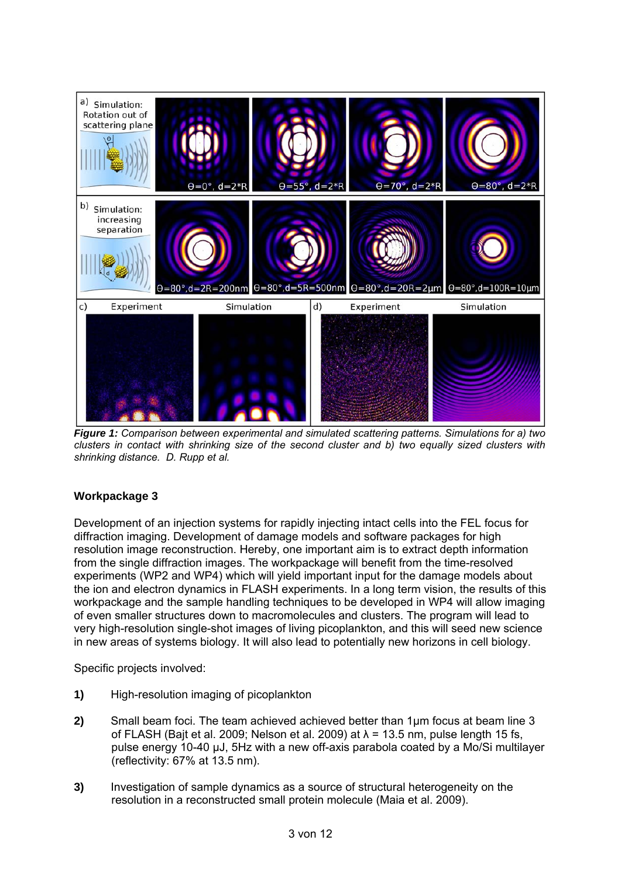

*Figure 1: Comparison between experimental and simulated scattering patterns. Simulations for a) two clusters in contact with shrinking size of the second cluster and b) two equally sized clusters with shrinking distance. D. Rupp et al.* 

## **Workpackage 3**

Development of an injection systems for rapidly injecting intact cells into the FEL focus for diffraction imaging. Development of damage models and software packages for high resolution image reconstruction. Hereby, one important aim is to extract depth information from the single diffraction images. The workpackage will benefit from the time-resolved experiments (WP2 and WP4) which will yield important input for the damage models about the ion and electron dynamics in FLASH experiments. In a long term vision, the results of this workpackage and the sample handling techniques to be developed in WP4 will allow imaging of even smaller structures down to macromolecules and clusters. The program will lead to very high-resolution single-shot images of living picoplankton, and this will seed new science in new areas of systems biology. It will also lead to potentially new horizons in cell biology.

Specific projects involved:

- **1)** High-resolution imaging of picoplankton
- **2)** Small beam foci. The team achieved achieved better than 1μm focus at beam line 3 of FLASH (Bait et al. 2009; Nelson et al. 2009) at  $\lambda$  = 13.5 nm, pulse length 15 fs, pulse energy 10-40 μJ, 5Hz with a new off-axis parabola coated by a Mo/Si multilayer (reflectivity: 67% at 13.5 nm).
- **3)** Investigation of sample dynamics as a source of structural heterogeneity on the resolution in a reconstructed small protein molecule (Maia et al. 2009).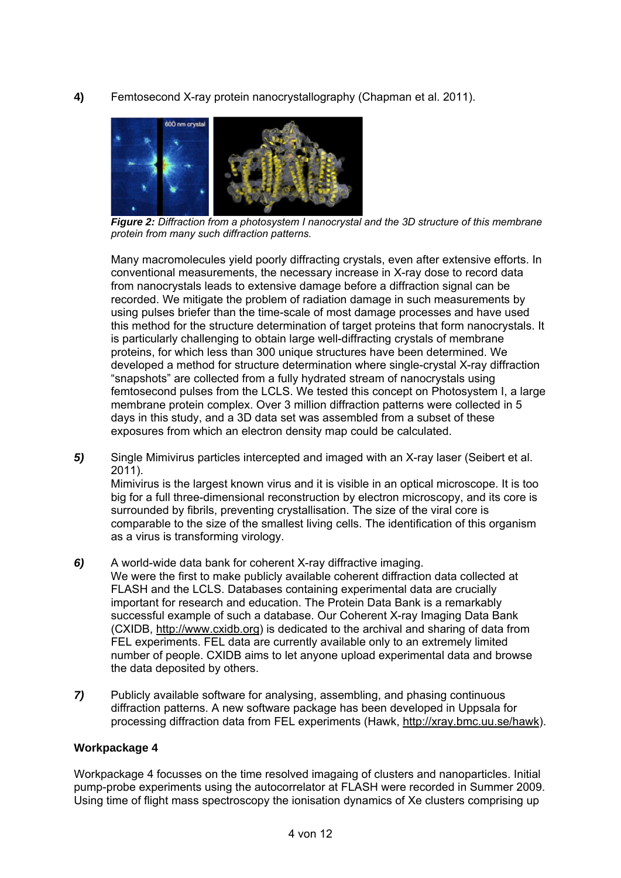**4)** Femtosecond X-ray protein nanocrystallography (Chapman et al. 2011).



*Figure 2: Diffraction from a photosystem I nanocrystal and the 3D structure of this membrane protein from many such diffraction patterns.* 

Many macromolecules yield poorly diffracting crystals, even after extensive efforts. In conventional measurements, the necessary increase in X-ray dose to record data from nanocrystals leads to extensive damage before a diffraction signal can be recorded. We mitigate the problem of radiation damage in such measurements by using pulses briefer than the time-scale of most damage processes and have used this method for the structure determination of target proteins that form nanocrystals. It is particularly challenging to obtain large well-diffracting crystals of membrane proteins, for which less than 300 unique structures have been determined. We developed a method for structure determination where single-crystal X-ray diffraction "snapshots" are collected from a fully hydrated stream of nanocrystals using femtosecond pulses from the LCLS. We tested this concept on Photosystem I, a large membrane protein complex. Over 3 million diffraction patterns were collected in 5 days in this study, and a 3D data set was assembled from a subset of these exposures from which an electron density map could be calculated.

*5)* Single Mimivirus particles intercepted and imaged with an X-ray laser (Seibert et al. 2011).

Mimivirus is the largest known virus and it is visible in an optical microscope. It is too big for a full three-dimensional reconstruction by electron microscopy, and its core is surrounded by fibrils, preventing crystallisation. The size of the viral core is comparable to the size of the smallest living cells. The identification of this organism as a virus is transforming virology.

- *6)* A world-wide data bank for coherent X-ray diffractive imaging. We were the first to make publicly available coherent diffraction data collected at FLASH and the LCLS. Databases containing experimental data are crucially important for research and education. The Protein Data Bank is a remarkably successful example of such a database. Our Coherent X-ray Imaging Data Bank (CXIDB, http://www.cxidb.org) is dedicated to the archival and sharing of data from FEL experiments. FEL data are currently available only to an extremely limited number of people. CXIDB aims to let anyone upload experimental data and browse the data deposited by others.
- *7)* Publicly available software for analysing, assembling, and phasing continuous diffraction patterns. A new software package has been developed in Uppsala for processing diffraction data from FEL experiments (Hawk, http://xray.bmc.uu.se/hawk).

### **Workpackage 4**

Workpackage 4 focusses on the time resolved imagaing of clusters and nanoparticles. Initial pump-probe experiments using the autocorrelator at FLASH were recorded in Summer 2009. Using time of flight mass spectroscopy the ionisation dynamics of Xe clusters comprising up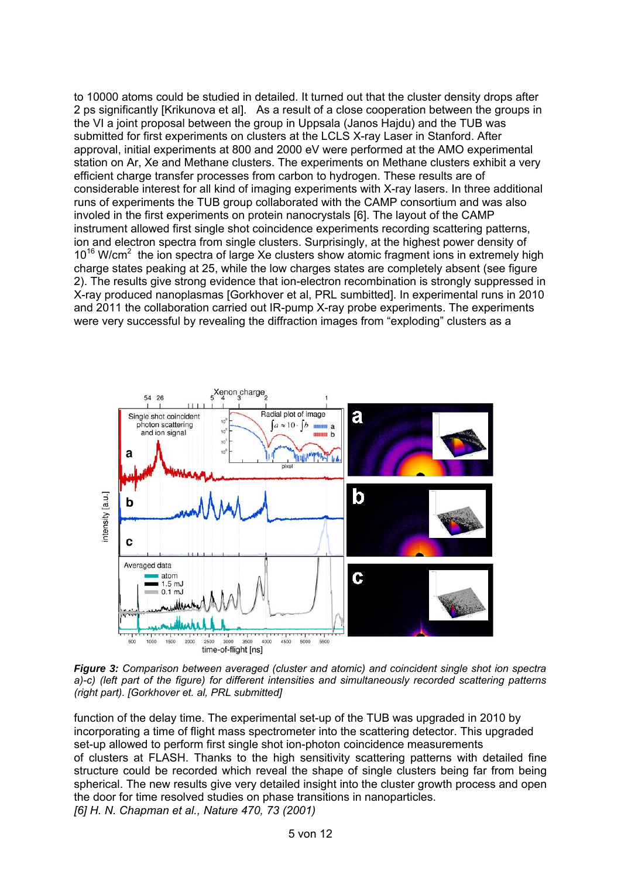to 10000 atoms could be studied in detailed. It turned out that the cluster density drops after 2 ps significantly [Krikunova et al]. As a result of a close cooperation between the groups in the VI a joint proposal between the group in Uppsala (Janos Hajdu) and the TUB was submitted for first experiments on clusters at the LCLS X-ray Laser in Stanford. After approval, initial experiments at 800 and 2000 eV were performed at the AMO experimental station on Ar, Xe and Methane clusters. The experiments on Methane clusters exhibit a very efficient charge transfer processes from carbon to hydrogen. These results are of considerable interest for all kind of imaging experiments with X-ray lasers. In three additional runs of experiments the TUB group collaborated with the CAMP consortium and was also involed in the first experiments on protein nanocrystals [6]. The layout of the CAMP instrument allowed first single shot coincidence experiments recording scattering patterns, ion and electron spectra from single clusters. Surprisingly, at the highest power density of 10<sup>16</sup> W/cm<sup>2</sup> the ion spectra of large Xe clusters show atomic fragment ions in extremely high charge states peaking at 25, while the low charges states are completely absent (see figure 2). The results give strong evidence that ion-electron recombination is strongly suppressed in X-ray produced nanoplasmas [Gorkhover et al, PRL sumbitted]. In experimental runs in 2010 and 2011 the collaboration carried out IR-pump X-ray probe experiments. The experiments were very successful by revealing the diffraction images from "exploding" clusters as a



*Figure 3: Comparison between averaged (cluster and atomic) and coincident single shot ion spectra a)-c) (left part of the figure) for different intensities and simultaneously recorded scattering patterns (right part). [Gorkhover et. al, PRL submitted]* 

function of the delay time. The experimental set-up of the TUB was upgraded in 2010 by incorporating a time of flight mass spectrometer into the scattering detector. This upgraded set-up allowed to perform first single shot ion-photon coincidence measurements of clusters at FLASH. Thanks to the high sensitivity scattering patterns with detailed fine structure could be recorded which reveal the shape of single clusters being far from being spherical. The new results give very detailed insight into the cluster growth process and open the door for time resolved studies on phase transitions in nanoparticles. *[6] H. N. Chapman et al., Nature 470, 73 (2001)*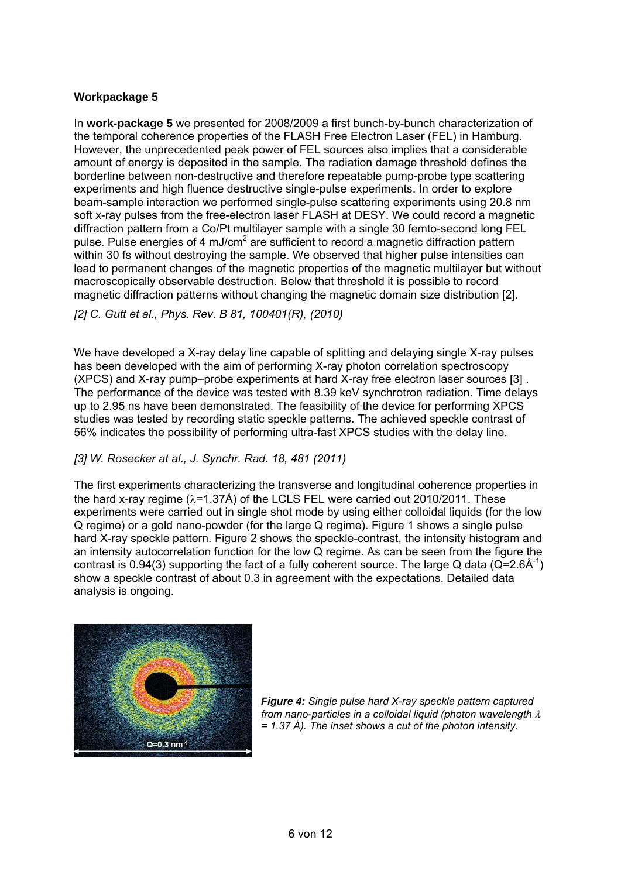### **Workpackage 5**

In **work-package 5** we presented for 2008/2009 a first bunch-by-bunch characterization of the temporal coherence properties of the FLASH Free Electron Laser (FEL) in Hamburg. However, the unprecedented peak power of FEL sources also implies that a considerable amount of energy is deposited in the sample. The radiation damage threshold defines the borderline between non-destructive and therefore repeatable pump-probe type scattering experiments and high fluence destructive single-pulse experiments. In order to explore beam-sample interaction we performed single-pulse scattering experiments using 20.8 nm soft x-ray pulses from the free-electron laser FLASH at DESY. We could record a magnetic diffraction pattern from a Co/Pt multilayer sample with a single 30 femto-second long FEL pulse. Pulse energies of 4 mJ/cm<sup>2</sup> are sufficient to record a magnetic diffraction pattern within 30 fs without destroying the sample. We observed that higher pulse intensities can lead to permanent changes of the magnetic properties of the magnetic multilayer but without macroscopically observable destruction. Below that threshold it is possible to record magnetic diffraction patterns without changing the magnetic domain size distribution [2].

*[2] C. Gutt et al., Phys. Rev. B 81, 100401(R), (2010)* 

We have developed a X-ray delay line capable of splitting and delaying single X-ray pulses has been developed with the aim of performing X-ray photon correlation spectroscopy (XPCS) and X-ray pump–probe experiments at hard X-ray free electron laser sources [3] . The performance of the device was tested with 8.39 keV synchrotron radiation. Time delays up to 2.95 ns have been demonstrated. The feasibility of the device for performing XPCS studies was tested by recording static speckle patterns. The achieved speckle contrast of 56% indicates the possibility of performing ultra-fast XPCS studies with the delay line.

### *[3] W. Rosecker at al., J. Synchr. Rad. 18, 481 (2011)*

The first experiments characterizing the transverse and longitudinal coherence properties in the hard x-ray regime  $(\lambda=1.37\text{\AA})$  of the LCLS FEL were carried out 2010/2011. These experiments were carried out in single shot mode by using either colloidal liquids (for the low Q regime) or a gold nano-powder (for the large Q regime). Figure 1 shows a single pulse hard X-ray speckle pattern. Figure 2 shows the speckle-contrast, the intensity histogram and an intensity autocorrelation function for the low Q regime. As can be seen from the figure the contrast is 0.94(3) supporting the fact of a fully coherent source. The large Q data ( $Q=2.6\text{\AA}^{-1}$ ) show a speckle contrast of about 0.3 in agreement with the expectations. Detailed data analysis is ongoing.



*Figure 4: Single pulse hard X-ray speckle pattern captured from nano-particles in a colloidal liquid (photon wavelength = 1.37 Å). The inset shows a cut of the photon intensity.*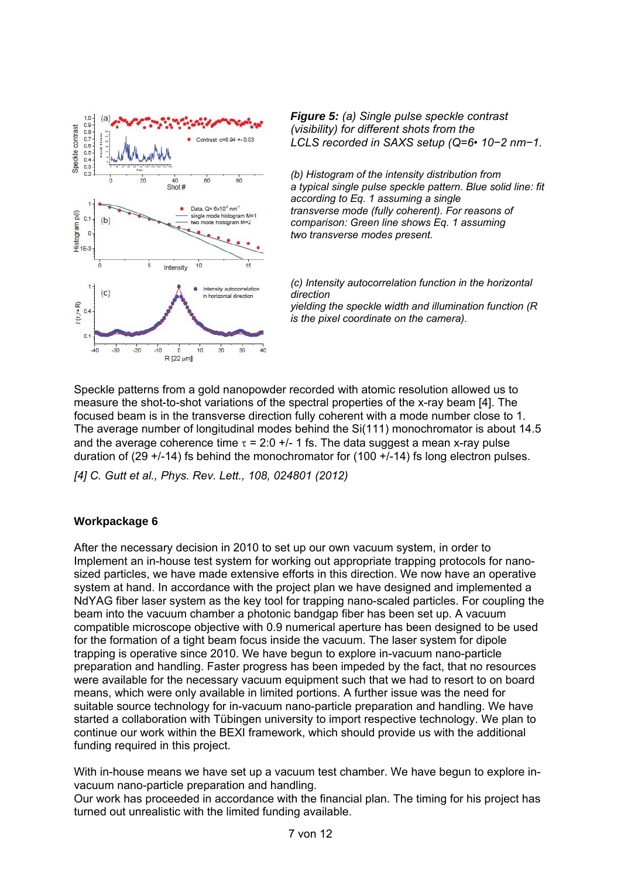

*Figure 5: (a) Single pulse speckle contrast (visibility) for different shots from the LCLS recorded in SAXS setup (Q=6• 10−2 nm−1.* 

*(b) Histogram of the intensity distribution from a typical single pulse speckle pattern. Blue solid line: fit according to Eq. 1 assuming a single transverse mode (fully coherent). For reasons of comparison: Green line shows Eq. 1 assuming two transverse modes present.* 

*(c) Intensity autocorrelation function in the horizontal direction yielding the speckle width and illumination function (R is the pixel coordinate on the camera).* 

Speckle patterns from a gold nanopowder recorded with atomic resolution allowed us to measure the shot-to-shot variations of the spectral properties of the x-ray beam [4]. The focused beam is in the transverse direction fully coherent with a mode number close to 1. The average number of longitudinal modes behind the Si(111) monochromator is about 14.5 and the average coherence time  $\tau = 2.0$  +/- 1 fs. The data suggest a mean x-ray pulse duration of (29 +/-14) fs behind the monochromator for (100 +/-14) fs long electron pulses.

*[4] C. Gutt et al., Phys. Rev. Lett., 108, 024801 (2012)* 

### **Workpackage 6**

After the necessary decision in 2010 to set up our own vacuum system, in order to Implement an in-house test system for working out appropriate trapping protocols for nanosized particles, we have made extensive efforts in this direction. We now have an operative system at hand. In accordance with the project plan we have designed and implemented a NdYAG fiber laser system as the key tool for trapping nano-scaled particles. For coupling the beam into the vacuum chamber a photonic bandgap fiber has been set up. A vacuum compatible microscope objective with 0.9 numerical aperture has been designed to be used for the formation of a tight beam focus inside the vacuum. The laser system for dipole trapping is operative since 2010. We have begun to explore in-vacuum nano-particle preparation and handling. Faster progress has been impeded by the fact, that no resources were available for the necessary vacuum equipment such that we had to resort to on board means, which were only available in limited portions. A further issue was the need for suitable source technology for in-vacuum nano-particle preparation and handling. We have started a collaboration with Tübingen university to import respective technology. We plan to continue our work within the BEXI framework, which should provide us with the additional funding required in this project.

With in-house means we have set up a vacuum test chamber. We have begun to explore invacuum nano-particle preparation and handling.

Our work has proceeded in accordance with the financial plan. The timing for his project has turned out unrealistic with the limited funding available.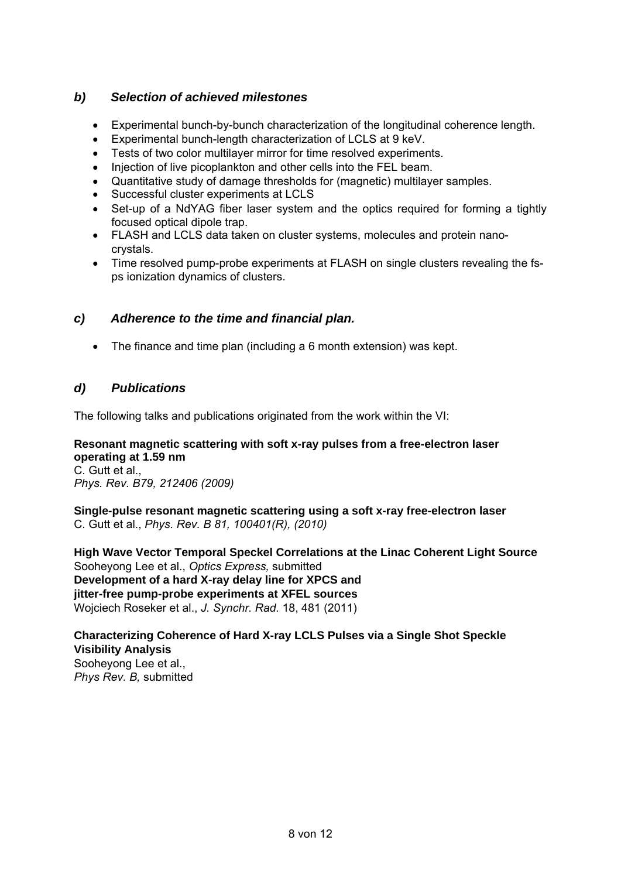## *b) Selection of achieved milestones*

- Experimental bunch-by-bunch characterization of the longitudinal coherence length.
- Experimental bunch-length characterization of LCLS at 9 keV.
- Tests of two color multilayer mirror for time resolved experiments.
- Injection of live picoplankton and other cells into the FEL beam.
- Quantitative study of damage thresholds for (magnetic) multilayer samples.
- Successful cluster experiments at LCLS
- Set-up of a NdYAG fiber laser system and the optics required for forming a tightly focused optical dipole trap.
- FLASH and LCLS data taken on cluster systems, molecules and protein nanocrystals.
- Time resolved pump-probe experiments at FLASH on single clusters revealing the fsps ionization dynamics of clusters.

## *c) Adherence to the time and financial plan.*

The finance and time plan (including a 6 month extension) was kept.

# *d) Publications*

The following talks and publications originated from the work within the VI:

# **Resonant magnetic scattering with soft x-ray pulses from a free-electron laser operating at 1.59 nm**

C. Gutt et al., *Phys. Rev. B79, 212406 (2009)* 

**Single-pulse resonant magnetic scattering using a soft x-ray free-electron laser** C. Gutt et al., *Phys. Rev. B 81, 100401(R), (2010)* 

**High Wave Vector Temporal Speckel Correlations at the Linac Coherent Light Source**  Sooheyong Lee et al., *Optics Express,* submitted **Development of a hard X-ray delay line for XPCS and jitter-free pump-probe experiments at XFEL sources**  Wojciech Roseker et al., *J. Synchr. Rad.* 18, 481 (2011)

## **Characterizing Coherence of Hard X-ray LCLS Pulses via a Single Shot Speckle Visibility Analysis**  Sooheyong Lee et al., *Phys Rev. B,* submitted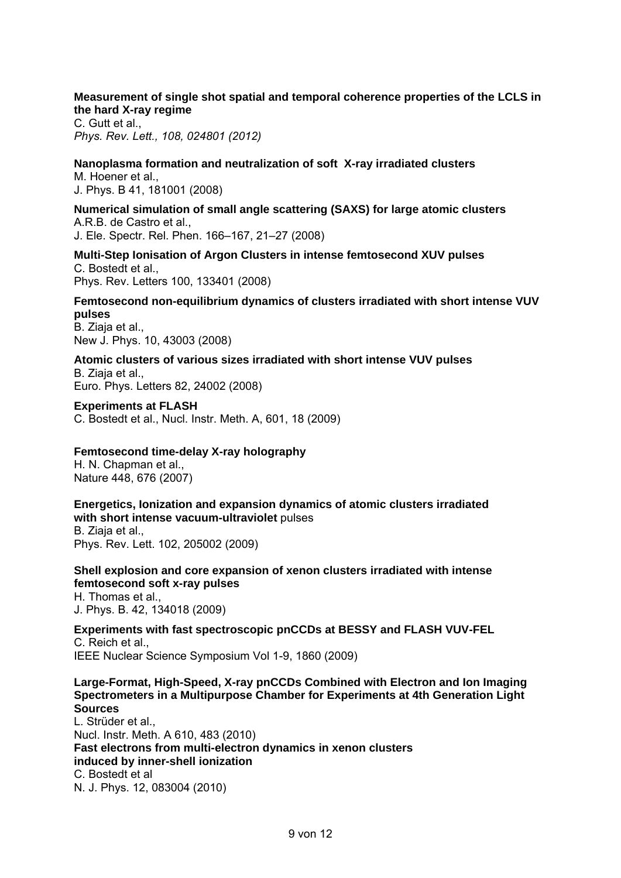### **Measurement of single shot spatial and temporal coherence properties of the LCLS in the hard X-ray regime**

C. Gutt et al., *Phys. Rev. Lett., 108, 024801 (2012)* 

**Nanoplasma formation and neutralization of soft X-ray irradiated clusters** M. Hoener et al., J. Phys. B 41, 181001 (2008)

**Numerical simulation of small angle scattering (SAXS) for large atomic clusters**  A.R.B. de Castro et al., J. Ele. Spectr. Rel. Phen. 166–167, 21–27 (2008)

**Multi-Step Ionisation of Argon Clusters in intense femtosecond XUV pulses**  C. Bostedt et al., Phys. Rev. Letters 100, 133401 (2008)

#### **Femtosecond non-equilibrium dynamics of clusters irradiated with short intense VUV pulses**  B. Ziaja et al.,

New J. Phys. 10, 43003 (2008)

**Atomic clusters of various sizes irradiated with short intense VUV pulses**  B. Ziaja et al., Euro. Phys. Letters 82, 24002 (2008)

**Experiments at FLASH** C. Bostedt et al., Nucl. Instr. Meth. A, 601, 18 (2009)

### **Femtosecond time-delay X-ray holography**

H. N. Chapman et al., Nature 448, 676 (2007)

**Energetics, Ionization and expansion dynamics of atomic clusters irradiated with short intense vacuum-ultraviolet** pulses B. Ziaja et al., Phys. Rev. Lett. 102, 205002 (2009)

**Shell explosion and core expansion of xenon clusters irradiated with intense femtosecond soft x-ray pulses**  H. Thomas et al.,

J. Phys. B. 42, 134018 (2009)

**Experiments with fast spectroscopic pnCCDs at BESSY and FLASH VUV-FEL**  C. Reich et al., IEEE Nuclear Science Symposium Vol 1-9, 1860 (2009)

### **Large-Format, High-Speed, X-ray pnCCDs Combined with Electron and Ion Imaging Spectrometers in a Multipurpose Chamber for Experiments at 4th Generation Light Sources**

L. Strüder et al., Nucl. Instr. Meth. A 610, 483 (2010) **Fast electrons from multi-electron dynamics in xenon clusters induced by inner-shell ionization**  C. Bostedt et al N. J. Phys. 12, 083004 (2010)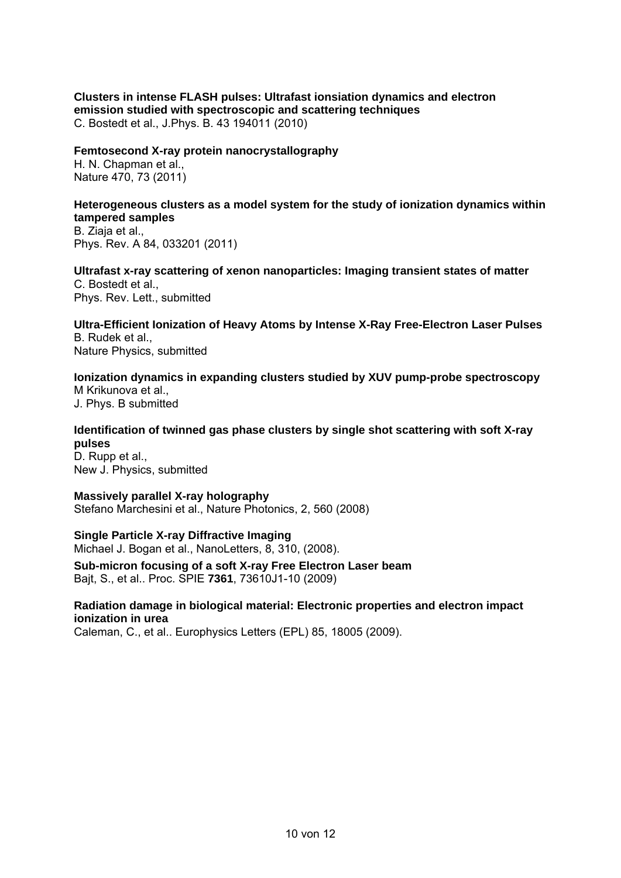**Clusters in intense FLASH pulses: Ultrafast ionsiation dynamics and electron emission studied with spectroscopic and scattering techniques** C. Bostedt et al., J.Phys. B. 43 194011 (2010)

**Femtosecond X-ray protein nanocrystallography** 

H. N. Chapman et al., Nature 470, 73 (2011)

#### **Heterogeneous clusters as a model system for the study of ionization dynamics within tampered samples**  B. Ziaja et al.,

Phys. Rev. A 84, 033201 (2011)

**Ultrafast x-ray scattering of xenon nanoparticles: Imaging transient states of matter**  C. Bostedt et al., Phys. Rev. Lett., submitted

**Ultra-Efficient Ionization of Heavy Atoms by Intense X-Ray Free-Electron Laser Pulses**  B. Rudek et al., Nature Physics, submitted

**Ionization dynamics in expanding clusters studied by XUV pump-probe spectroscopy**  M Krikunova et al.,

J. Phys. B submitted

## **Identification of twinned gas phase clusters by single shot scattering with soft X-ray pulses**

D. Rupp et al., New J. Physics, submitted

**Massively parallel X-ray holography**  Stefano Marchesini et al., Nature Photonics, 2, 560 (2008)

## **Single Particle X-ray Diffractive Imaging**

Michael J. Bogan et al., NanoLetters, 8, 310, (2008).

**Sub-micron focusing of a soft X-ray Free Electron Laser beam** Bajt, S., et al.. Proc. SPIE **7361**, 73610J1-10 (2009)

### **Radiation damage in biological material: Electronic properties and electron impact ionization in urea**

Caleman, C., et al.. Europhysics Letters (EPL) 85, 18005 (2009).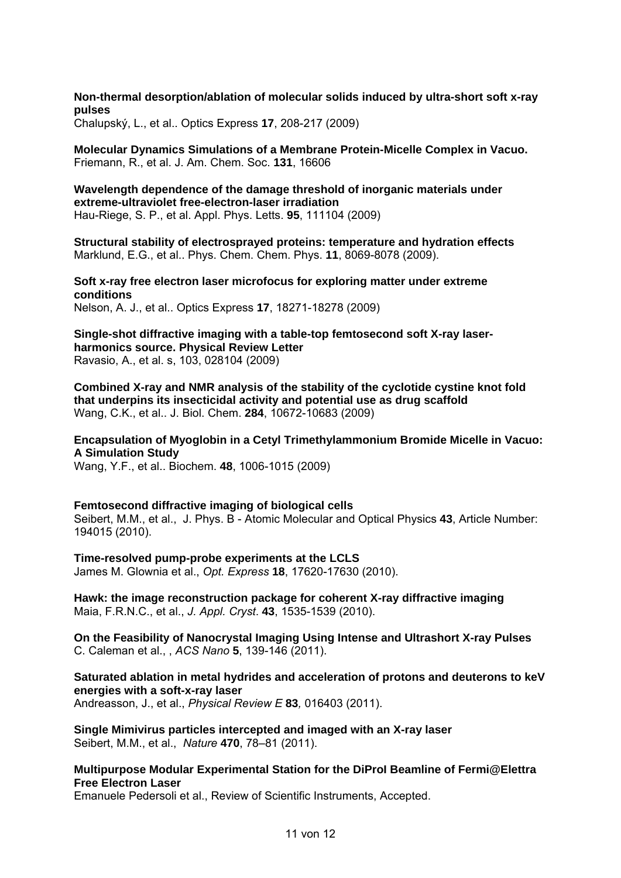**Non-thermal desorption/ablation of molecular solids induced by ultra-short soft x-ray pulses**

Chalupský, L., et al.. Optics Express **17**, 208-217 (2009)

**Molecular Dynamics Simulations of a Membrane Protein-Micelle Complex in Vacuo.** Friemann, R., et al. J. Am. Chem. Soc. **131**, 16606

**Wavelength dependence of the damage threshold of inorganic materials under extreme-ultraviolet free-electron-laser irradiation** Hau-Riege, S. P., et al. Appl. Phys. Letts. **95**, 111104 (2009)

**Structural stability of electrosprayed proteins: temperature and hydration effects** Marklund, E.G., et al.. Phys. Chem. Chem. Phys. **11**, 8069-8078 (2009).

**Soft x-ray free electron laser microfocus for exploring matter under extreme conditions**

Nelson, A. J., et al.. Optics Express **17**, 18271-18278 (2009)

**Single-shot diffractive imaging with a table-top femtosecond soft X-ray laserharmonics source. Physical Review Letter**  Ravasio, A., et al. s, 103, 028104 (2009)

**Combined X-ray and NMR analysis of the stability of the cyclotide cystine knot fold that underpins its insecticidal activity and potential use as drug scaffold** Wang, C.K., et al.. J. Biol. Chem. **284**, 10672-10683 (2009)

**Encapsulation of Myoglobin in a Cetyl Trimethylammonium Bromide Micelle in Vacuo: A Simulation Study**

Wang, Y.F., et al.. Biochem. **48**, 1006-1015 (2009)

**Femtosecond diffractive imaging of biological cells** 

Seibert, M.M., et al., J. Phys. B - Atomic Molecular and Optical Physics **43**, Article Number: 194015 (2010).

**Time-resolved pump-probe experiments at the LCLS**  James M. Glownia et al., *Opt. Express* **18**, 17620-17630 (2010).

**Hawk: the image reconstruction package for coherent X-ray diffractive imaging**  Maia, F.R.N.C., et al., *J. Appl. Cryst*. **43**, 1535-1539 (2010).

**On the Feasibility of Nanocrystal Imaging Using Intense and Ultrashort X-ray Pulses**  C. Caleman et al., , *ACS Nano* **5**, 139-146 (2011).

**Saturated ablation in metal hydrides and acceleration of protons and deuterons to keV energies with a soft-x-ray laser** 

Andreasson, J., et al., *Physical Review E* **83***,* 016403 (2011).

**Single Mimivirus particles intercepted and imaged with an X-ray laser**  Seibert, M.M., et al., *Nature* **470**, 78–81 (2011).

### **Multipurpose Modular Experimental Station for the DiProI Beamline of Fermi@Elettra Free Electron Laser**

Emanuele Pedersoli et al., Review of Scientific Instruments, Accepted.